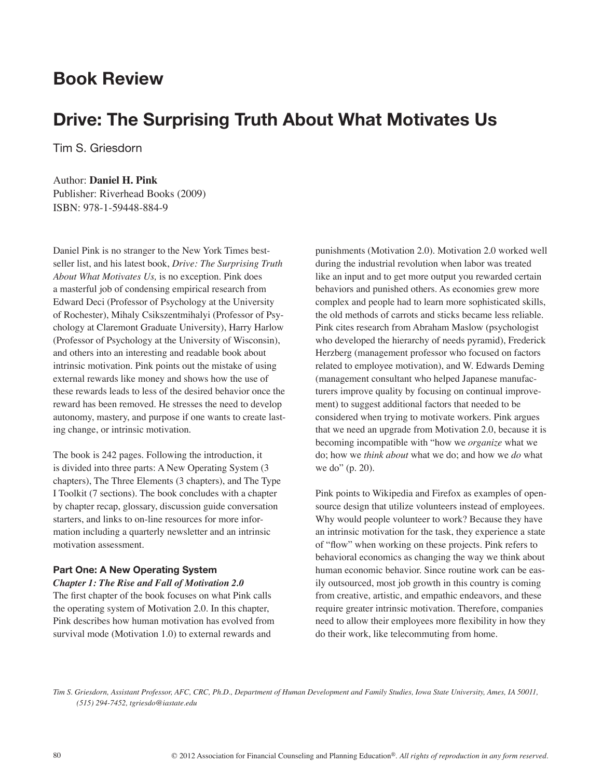## **Book Review**

# **Drive: The Surprising Truth About What Motivates Us**

Tim S. Griesdorn

## Author: **Daniel H. Pink**

Publisher: Riverhead Books (2009) ISBN: 978-1-59448-884-9

Daniel Pink is no stranger to the New York Times bestseller list, and his latest book, *Drive: The Surprising Truth About What Motivates Us,* is no exception. Pink does a masterful job of condensing empirical research from Edward Deci (Professor of Psychology at the University of Rochester), Mihaly Csikszentmihalyi (Professor of Psychology at Claremont Graduate University), Harry Harlow (Professor of Psychology at the University of Wisconsin), and others into an interesting and readable book about intrinsic motivation. Pink points out the mistake of using external rewards like money and shows how the use of these rewards leads to less of the desired behavior once the reward has been removed. He stresses the need to develop autonomy, mastery, and purpose if one wants to create lasting change, or intrinsic motivation.

The book is 242 pages. Following the introduction, it is divided into three parts: A New Operating System (3 chapters), The Three Elements (3 chapters), and The Type I Toolkit (7 sections). The book concludes with a chapter by chapter recap, glossary, discussion guide conversation starters, and links to on-line resources for more information including a quarterly newsletter and an intrinsic motivation assessment.

## **Part One: A New Operating System**

*Chapter 1: The Rise and Fall of Motivation 2.0*

The first chapter of the book focuses on what Pink calls the operating system of Motivation 2.0. In this chapter, Pink describes how human motivation has evolved from survival mode (Motivation 1.0) to external rewards and

punishments (Motivation 2.0). Motivation 2.0 worked well during the industrial revolution when labor was treated like an input and to get more output you rewarded certain behaviors and punished others. As economies grew more complex and people had to learn more sophisticated skills, the old methods of carrots and sticks became less reliable. Pink cites research from Abraham Maslow (psychologist who developed the hierarchy of needs pyramid), Frederick Herzberg (management professor who focused on factors related to employee motivation), and W. Edwards Deming (management consultant who helped Japanese manufacturers improve quality by focusing on continual improvement) to suggest additional factors that needed to be considered when trying to motivate workers. Pink argues that we need an upgrade from Motivation 2.0, because it is becoming incompatible with "how we *organize* what we do; how we *think about* what we do; and how we *do* what we do" (p. 20).

Pink points to Wikipedia and Firefox as examples of opensource design that utilize volunteers instead of employees. Why would people volunteer to work? Because they have an intrinsic motivation for the task, they experience a state of "flow" when working on these projects. Pink refers to behavioral economics as changing the way we think about human economic behavior. Since routine work can be easily outsourced, most job growth in this country is coming from creative, artistic, and empathic endeavors, and these require greater intrinsic motivation. Therefore, companies need to allow their employees more flexibility in how they do their work, like telecommuting from home.

*Tim S. Griesdorn, Assistant Professor, AFC, CRC, Ph.D., Department of Human Development and Family Studies, Iowa State University, Ames, IA 50011, (515) 294-7452, tgriesdo@iastate.edu*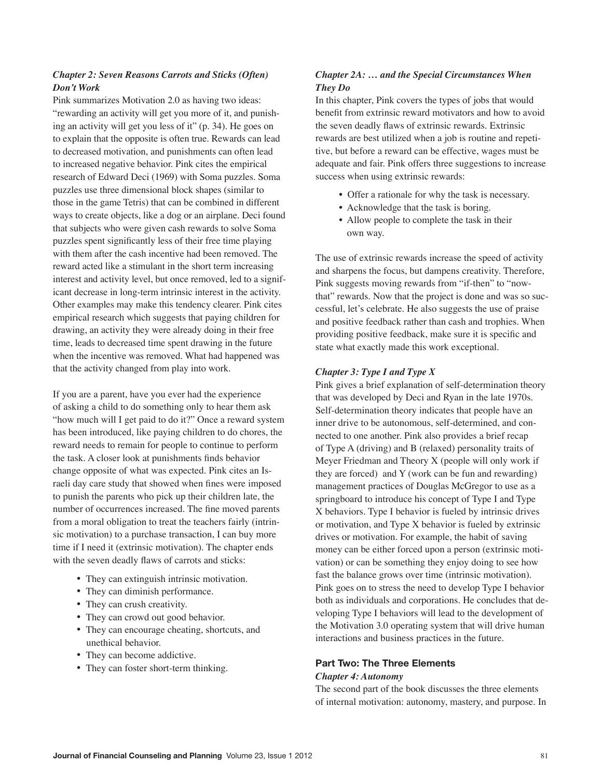## *Chapter 2: Seven Reasons Carrots and Sticks (Often) Don't Work*

Pink summarizes Motivation 2.0 as having two ideas: "rewarding an activity will get you more of it, and punishing an activity will get you less of it" (p. 34). He goes on to explain that the opposite is often true. Rewards can lead to decreased motivation, and punishments can often lead to increased negative behavior. Pink cites the empirical research of Edward Deci (1969) with Soma puzzles. Soma puzzles use three dimensional block shapes (similar to those in the game Tetris) that can be combined in different ways to create objects, like a dog or an airplane. Deci found that subjects who were given cash rewards to solve Soma puzzles spent significantly less of their free time playing with them after the cash incentive had been removed. The reward acted like a stimulant in the short term increasing interest and activity level, but once removed, led to a significant decrease in long-term intrinsic interest in the activity. Other examples may make this tendency clearer. Pink cites empirical research which suggests that paying children for drawing, an activity they were already doing in their free time, leads to decreased time spent drawing in the future when the incentive was removed. What had happened was that the activity changed from play into work.

If you are a parent, have you ever had the experience of asking a child to do something only to hear them ask "how much will I get paid to do it?" Once a reward system has been introduced, like paying children to do chores, the reward needs to remain for people to continue to perform the task. A closer look at punishments finds behavior change opposite of what was expected. Pink cites an Israeli day care study that showed when fines were imposed to punish the parents who pick up their children late, the number of occurrences increased. The fine moved parents from a moral obligation to treat the teachers fairly (intrinsic motivation) to a purchase transaction, I can buy more time if I need it (extrinsic motivation). The chapter ends with the seven deadly flaws of carrots and sticks:

- They can extinguish intrinsic motivation.
- They can diminish performance.
- They can crush creativity.
- They can crowd out good behavior.
- They can encourage cheating, shortcuts, and unethical behavior.
- They can become addictive.
- They can foster short-term thinking.

## *Chapter 2A: … and the Special Circumstances When They Do*

In this chapter, Pink covers the types of jobs that would benefit from extrinsic reward motivators and how to avoid the seven deadly flaws of extrinsic rewards. Extrinsic rewards are best utilized when a job is routine and repetitive, but before a reward can be effective, wages must be adequate and fair. Pink offers three suggestions to increase success when using extrinsic rewards:

- Offer a rationale for why the task is necessary.
- Acknowledge that the task is boring.
- Allow people to complete the task in their own way.

The use of extrinsic rewards increase the speed of activity and sharpens the focus, but dampens creativity. Therefore, Pink suggests moving rewards from "if-then" to "nowthat" rewards. Now that the project is done and was so successful, let's celebrate. He also suggests the use of praise and positive feedback rather than cash and trophies. When providing positive feedback, make sure it is specific and state what exactly made this work exceptional.

## *Chapter 3: Type I and Type X*

Pink gives a brief explanation of self-determination theory that was developed by Deci and Ryan in the late 1970s. Self-determination theory indicates that people have an inner drive to be autonomous, self-determined, and connected to one another. Pink also provides a brief recap of Type A (driving) and B (relaxed) personality traits of Meyer Friedman and Theory X (people will only work if they are forced) and Y (work can be fun and rewarding) management practices of Douglas McGregor to use as a springboard to introduce his concept of Type I and Type X behaviors. Type I behavior is fueled by intrinsic drives or motivation, and Type X behavior is fueled by extrinsic drives or motivation. For example, the habit of saving money can be either forced upon a person (extrinsic motivation) or can be something they enjoy doing to see how fast the balance grows over time (intrinsic motivation). Pink goes on to stress the need to develop Type I behavior both as individuals and corporations. He concludes that developing Type I behaviors will lead to the development of the Motivation 3.0 operating system that will drive human interactions and business practices in the future.

## **Part Two: The Three Elements**

#### *Chapter 4: Autonomy*

The second part of the book discusses the three elements of internal motivation: autonomy, mastery, and purpose. In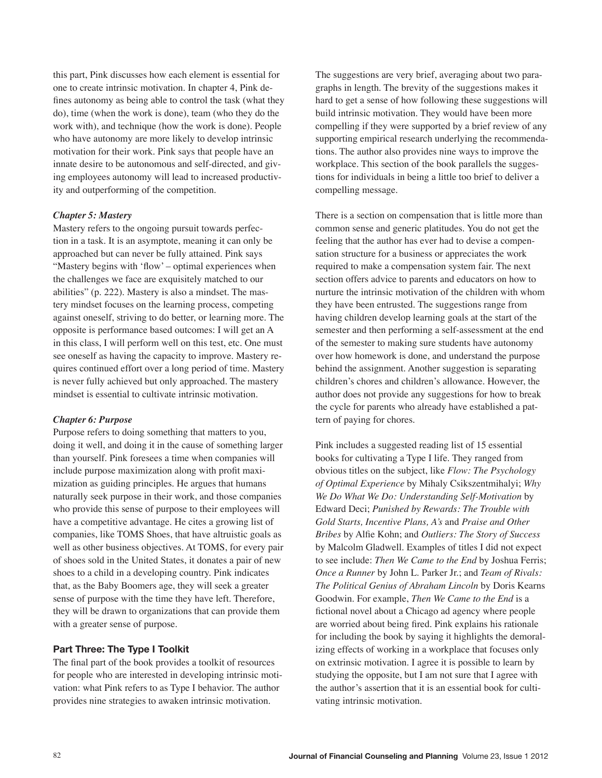this part, Pink discusses how each element is essential for one to create intrinsic motivation. In chapter 4, Pink defines autonomy as being able to control the task (what they do), time (when the work is done), team (who they do the work with), and technique (how the work is done). People who have autonomy are more likely to develop intrinsic motivation for their work. Pink says that people have an innate desire to be autonomous and self-directed, and giving employees autonomy will lead to increased productivity and outperforming of the competition.

## *Chapter 5: Mastery*

Mastery refers to the ongoing pursuit towards perfection in a task. It is an asymptote, meaning it can only be approached but can never be fully attained. Pink says "Mastery begins with 'flow' – optimal experiences when the challenges we face are exquisitely matched to our abilities" (p. 222). Mastery is also a mindset. The mastery mindset focuses on the learning process, competing against oneself, striving to do better, or learning more. The opposite is performance based outcomes: I will get an A in this class, I will perform well on this test, etc. One must see oneself as having the capacity to improve. Mastery requires continued effort over a long period of time. Mastery is never fully achieved but only approached. The mastery mindset is essential to cultivate intrinsic motivation.

#### *Chapter 6: Purpose*

Purpose refers to doing something that matters to you, doing it well, and doing it in the cause of something larger than yourself. Pink foresees a time when companies will include purpose maximization along with profit maximization as guiding principles. He argues that humans naturally seek purpose in their work, and those companies who provide this sense of purpose to their employees will have a competitive advantage. He cites a growing list of companies, like TOMS Shoes, that have altruistic goals as well as other business objectives. At TOMS, for every pair of shoes sold in the United States, it donates a pair of new shoes to a child in a developing country. Pink indicates that, as the Baby Boomers age, they will seek a greater sense of purpose with the time they have left. Therefore, they will be drawn to organizations that can provide them with a greater sense of purpose.

#### **Part Three: The Type I Toolkit**

The final part of the book provides a toolkit of resources for people who are interested in developing intrinsic motivation: what Pink refers to as Type I behavior. The author provides nine strategies to awaken intrinsic motivation.

The suggestions are very brief, averaging about two paragraphs in length. The brevity of the suggestions makes it hard to get a sense of how following these suggestions will build intrinsic motivation. They would have been more compelling if they were supported by a brief review of any supporting empirical research underlying the recommendations. The author also provides nine ways to improve the workplace. This section of the book parallels the suggestions for individuals in being a little too brief to deliver a compelling message.

There is a section on compensation that is little more than common sense and generic platitudes. You do not get the feeling that the author has ever had to devise a compensation structure for a business or appreciates the work required to make a compensation system fair. The next section offers advice to parents and educators on how to nurture the intrinsic motivation of the children with whom they have been entrusted. The suggestions range from having children develop learning goals at the start of the semester and then performing a self-assessment at the end of the semester to making sure students have autonomy over how homework is done, and understand the purpose behind the assignment. Another suggestion is separating children's chores and children's allowance. However, the author does not provide any suggestions for how to break the cycle for parents who already have established a pattern of paying for chores.

Pink includes a suggested reading list of 15 essential books for cultivating a Type I life. They ranged from obvious titles on the subject, like *Flow: The Psychology of Optimal Experience* by Mihaly Csikszentmihalyi; *Why We Do What We Do: Understanding Self-Motivation* by Edward Deci; *Punished by Rewards: The Trouble with Gold Starts, Incentive Plans, A's* and *Praise and Other Bribes* by Alfie Kohn; and *Outliers: The Story of Success* by Malcolm Gladwell. Examples of titles I did not expect to see include: *Then We Came to the End* by Joshua Ferris; *Once a Runner* by John L. Parker Jr.; and *Team of Rivals: The Political Genius of Abraham Lincoln* by Doris Kearns Goodwin. For example, *Then We Came to the End* is a fictional novel about a Chicago ad agency where people are worried about being fired. Pink explains his rationale for including the book by saying it highlights the demoralizing effects of working in a workplace that focuses only on extrinsic motivation. I agree it is possible to learn by studying the opposite, but I am not sure that I agree with the author's assertion that it is an essential book for cultivating intrinsic motivation.